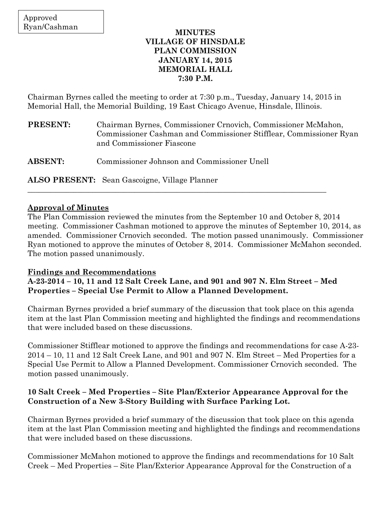### **MINUTES VILLAGE OF HINSDALE PLAN COMMISSION JANUARY 14, 2015 MEMORIAL HALL 7:30 P.M.**

Chairman Byrnes called the meeting to order at 7:30 p.m., Tuesday, January 14, 2015 in Memorial Hall, the Memorial Building, 19 East Chicago Avenue, Hinsdale, Illinois.

**PRESENT:** Chairman Byrnes, Commissioner Crnovich, Commissioner McMahon, Commissioner Cashman and Commissioner Stifflear, Commissioner Ryan and Commissioner Fiascone

**ABSENT:** Commissioner Johnson and Commissioner Unell

**ALSO PRESENT:** Sean Gascoigne, Village Planner

## **Approval of Minutes**

The Plan Commission reviewed the minutes from the September 10 and October 8, 2014 meeting. Commissioner Cashman motioned to approve the minutes of September 10, 2014, as amended. Commissioner Crnovich seconded. The motion passed unanimously. Commissioner Ryan motioned to approve the minutes of October 8, 2014. Commissioner McMahon seconded. The motion passed unanimously.

## **Findings and Recommendations**

**A-23-2014 – 10, 11 and 12 Salt Creek Lane, and 901 and 907 N. Elm Street – Med Properties – Special Use Permit to Allow a Planned Development.** 

\_\_\_\_\_\_\_\_\_\_\_\_\_\_\_\_\_\_\_\_\_\_\_\_\_\_\_\_\_\_\_\_\_\_\_\_\_\_\_\_\_\_\_\_\_\_\_\_\_\_\_\_\_\_\_\_\_\_\_\_\_\_\_\_\_\_\_\_\_\_\_\_\_\_\_\_\_\_

Chairman Byrnes provided a brief summary of the discussion that took place on this agenda item at the last Plan Commission meeting and highlighted the findings and recommendations that were included based on these discussions.

Commissioner Stifflear motioned to approve the findings and recommendations for case A-23- 2014 – 10, 11 and 12 Salt Creek Lane, and 901 and 907 N. Elm Street – Med Properties for a Special Use Permit to Allow a Planned Development. Commissioner Crnovich seconded. The motion passed unanimously.

## **10 Salt Creek – Med Properties – Site Plan/Exterior Appearance Approval for the Construction of a New 3-Story Building with Surface Parking Lot.**

Chairman Byrnes provided a brief summary of the discussion that took place on this agenda item at the last Plan Commission meeting and highlighted the findings and recommendations that were included based on these discussions.

Commissioner McMahon motioned to approve the findings and recommendations for 10 Salt Creek – Med Properties – Site Plan/Exterior Appearance Approval for the Construction of a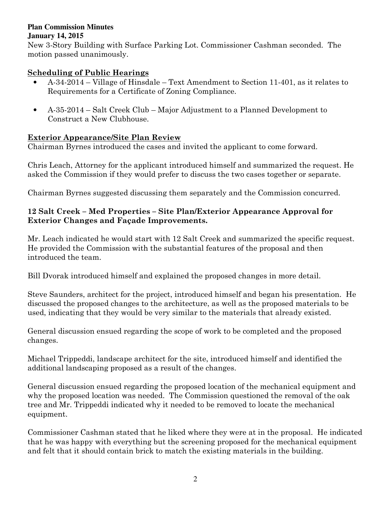#### **Plan Commission Minutes January 14, 2015**

New 3-Story Building with Surface Parking Lot. Commissioner Cashman seconded. The motion passed unanimously.

# **Scheduling of Public Hearings**

- A-34-2014 Village of Hinsdale Text Amendment to Section 11-401, as it relates to Requirements for a Certificate of Zoning Compliance.
- A-35-2014 Salt Creek Club Major Adjustment to a Planned Development to Construct a New Clubhouse.

## **Exterior Appearance/Site Plan Review**

Chairman Byrnes introduced the cases and invited the applicant to come forward.

Chris Leach, Attorney for the applicant introduced himself and summarized the request. He asked the Commission if they would prefer to discuss the two cases together or separate.

Chairman Byrnes suggested discussing them separately and the Commission concurred.

## **12 Salt Creek – Med Properties – Site Plan/Exterior Appearance Approval for Exterior Changes and Façade Improvements.**

Mr. Leach indicated he would start with 12 Salt Creek and summarized the specific request. He provided the Commission with the substantial features of the proposal and then introduced the team.

Bill Dvorak introduced himself and explained the proposed changes in more detail.

Steve Saunders, architect for the project, introduced himself and began his presentation. He discussed the proposed changes to the architecture, as well as the proposed materials to be used, indicating that they would be very similar to the materials that already existed.

General discussion ensued regarding the scope of work to be completed and the proposed changes.

Michael Trippeddi, landscape architect for the site, introduced himself and identified the additional landscaping proposed as a result of the changes.

General discussion ensued regarding the proposed location of the mechanical equipment and why the proposed location was needed. The Commission questioned the removal of the oak tree and Mr. Trippeddi indicated why it needed to be removed to locate the mechanical equipment.

Commissioner Cashman stated that he liked where they were at in the proposal. He indicated that he was happy with everything but the screening proposed for the mechanical equipment and felt that it should contain brick to match the existing materials in the building.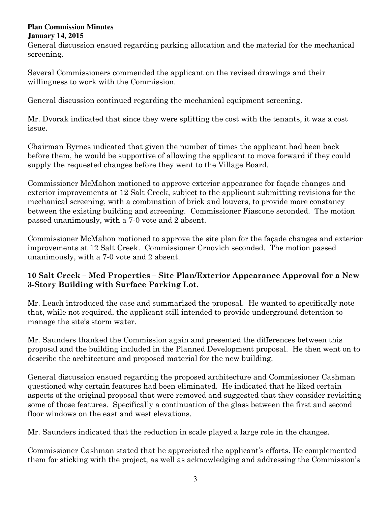### **Plan Commission Minutes January 14, 2015**

General discussion ensued regarding parking allocation and the material for the mechanical screening.

Several Commissioners commended the applicant on the revised drawings and their willingness to work with the Commission.

General discussion continued regarding the mechanical equipment screening.

Mr. Dvorak indicated that since they were splitting the cost with the tenants, it was a cost issue.

Chairman Byrnes indicated that given the number of times the applicant had been back before them, he would be supportive of allowing the applicant to move forward if they could supply the requested changes before they went to the Village Board.

Commissioner McMahon motioned to approve exterior appearance for façade changes and exterior improvements at 12 Salt Creek, subject to the applicant submitting revisions for the mechanical screening, with a combination of brick and louvers, to provide more constancy between the existing building and screening. Commissioner Fiascone seconded. The motion passed unanimously, with a 7-0 vote and 2 absent.

Commissioner McMahon motioned to approve the site plan for the façade changes and exterior improvements at 12 Salt Creek. Commissioner Crnovich seconded. The motion passed unanimously, with a 7-0 vote and 2 absent.

# **10 Salt Creek – Med Properties – Site Plan/Exterior Appearance Approval for a New 3-Story Building with Surface Parking Lot.**

Mr. Leach introduced the case and summarized the proposal. He wanted to specifically note that, while not required, the applicant still intended to provide underground detention to manage the site's storm water.

Mr. Saunders thanked the Commission again and presented the differences between this proposal and the building included in the Planned Development proposal. He then went on to describe the architecture and proposed material for the new building.

General discussion ensued regarding the proposed architecture and Commissioner Cashman questioned why certain features had been eliminated. He indicated that he liked certain aspects of the original proposal that were removed and suggested that they consider revisiting some of those features. Specifically a continuation of the glass between the first and second floor windows on the east and west elevations.

Mr. Saunders indicated that the reduction in scale played a large role in the changes.

Commissioner Cashman stated that he appreciated the applicant's efforts. He complemented them for sticking with the project, as well as acknowledging and addressing the Commission's